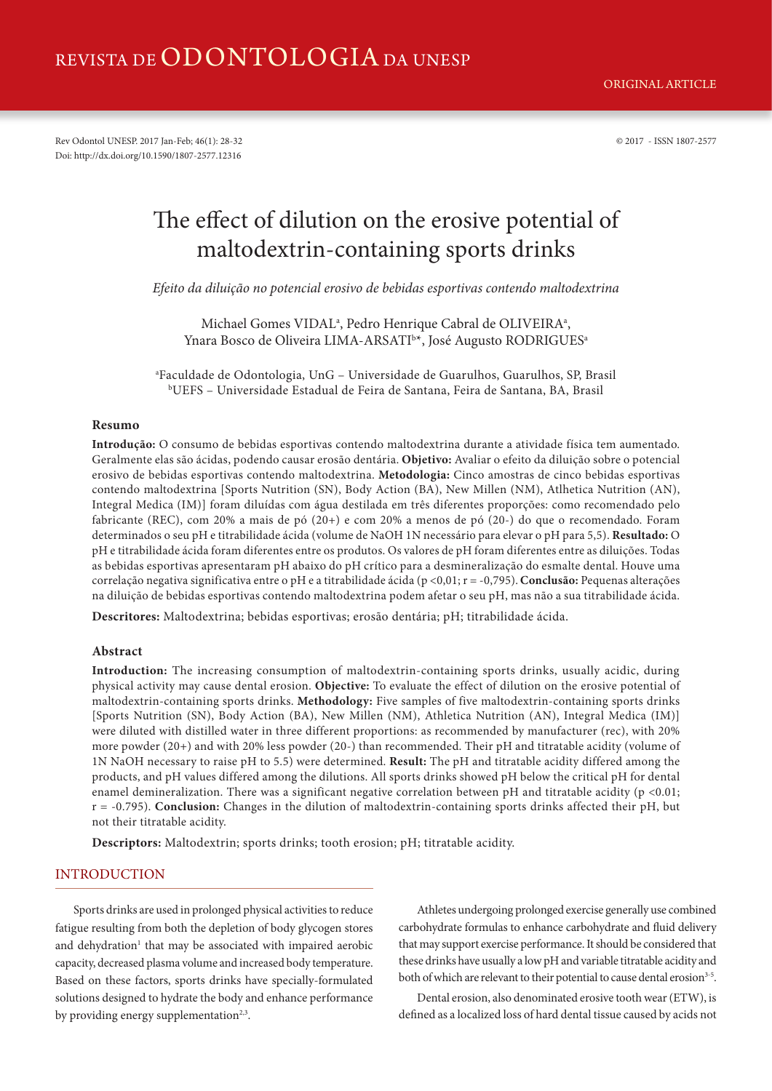## REVISTA DE ODONTOLOGIA DA UNESP

Rev Odontol UNESP. 2017 Jan-Feb; 46(1): 28-32 © 2017 - ISSN 1807-2577 Doi: http://dx.doi.org/10.1590/1807-2577.12316

# The effect of dilution on the erosive potential of maltodextrin-containing sports drinks

*Efeito da diluição no potencial erosivo de bebidas esportivas contendo maltodextrina*

Michael Gomes VIDAL<sup>a</sup>, Pedro Henrique Cabral de OLIVEIRA<sup>a</sup>, Ynara Bosco de Oliveira LIMA-ARSATI<sup>b\*</sup>, José Augusto RODRIGUES<sup>a</sup>

a Faculdade de Odontologia, UnG – Universidade de Guarulhos, Guarulhos, SP, Brasil b UEFS – Universidade Estadual de Feira de Santana, Feira de Santana, BA, Brasil

#### **Resumo**

**Introdução:** O consumo de bebidas esportivas contendo maltodextrina durante a atividade física tem aumentado. Geralmente elas são ácidas, podendo causar erosão dentária. **Objetivo:** Avaliar o efeito da diluição sobre o potencial erosivo de bebidas esportivas contendo maltodextrina. **Metodologia:** Cinco amostras de cinco bebidas esportivas contendo maltodextrina [Sports Nutrition (SN), Body Action (BA), New Millen (NM), Atlhetica Nutrition (AN), Integral Medica (IM)] foram diluídas com água destilada em três diferentes proporções: como recomendado pelo fabricante (REC), com 20% a mais de pó (20+) e com 20% a menos de pó (20-) do que o recomendado. Foram determinados o seu pH e titrabilidade ácida (volume de NaOH 1N necessário para elevar o pH para 5,5). **Resultado:** O pH e titrabilidade ácida foram diferentes entre os produtos. Os valores de pH foram diferentes entre as diluições. Todas as bebidas esportivas apresentaram pH abaixo do pH crítico para a desmineralização do esmalte dental. Houve uma correlação negativa significativa entre o pH e a titrabilidade ácida (p <0,01; r = -0,795). **Conclusão:** Pequenas alterações na diluição de bebidas esportivas contendo maltodextrina podem afetar o seu pH, mas não a sua titrabilidade ácida.

**Descritores:** Maltodextrina; bebidas esportivas; erosão dentária; pH; titrabilidade ácida.

## **Abstract**

**Introduction:** The increasing consumption of maltodextrin-containing sports drinks, usually acidic, during physical activity may cause dental erosion. **Objective:** To evaluate the effect of dilution on the erosive potential of maltodextrin-containing sports drinks. **Methodology:** Five samples of five maltodextrin-containing sports drinks [Sports Nutrition (SN), Body Action (BA), New Millen (NM), Athletica Nutrition (AN), Integral Medica (IM)] were diluted with distilled water in three different proportions: as recommended by manufacturer (rec), with 20% more powder (20+) and with 20% less powder (20-) than recommended. Their pH and titratable acidity (volume of 1N NaOH necessary to raise pH to 5.5) were determined. **Result:** The pH and titratable acidity differed among the products, and pH values differed among the dilutions. All sports drinks showed pH below the critical pH for dental enamel demineralization. There was a significant negative correlation between pH and titratable acidity ( $p < 0.01$ ; r = -0.795). **Conclusion:** Changes in the dilution of maltodextrin-containing sports drinks affected their pH, but not their titratable acidity.

**Descriptors:** Maltodextrin; sports drinks; tooth erosion; pH; titratable acidity.

## INTRODUCTION

Sports drinks are used in prolonged physical activities to reduce fatigue resulting from both the depletion of body glycogen stores and dehydration<sup>1</sup> that may be associated with impaired aerobic capacity, decreased plasma volume and increased body temperature. Based on these factors, sports drinks have specially-formulated solutions designed to hydrate the body and enhance performance by providing energy supplementation<sup>2,3</sup>.

Athletes undergoing prolonged exercise generally use combined carbohydrate formulas to enhance carbohydrate and fluid delivery that may support exercise performance. It should be considered that these drinks have usually a low pH and variable titratable acidity and both of which are relevant to their potential to cause dental erosion<sup>3-5</sup>.

Dental erosion, also denominated erosive tooth wear (ETW), is defined as a localized loss of hard dental tissue caused by acids not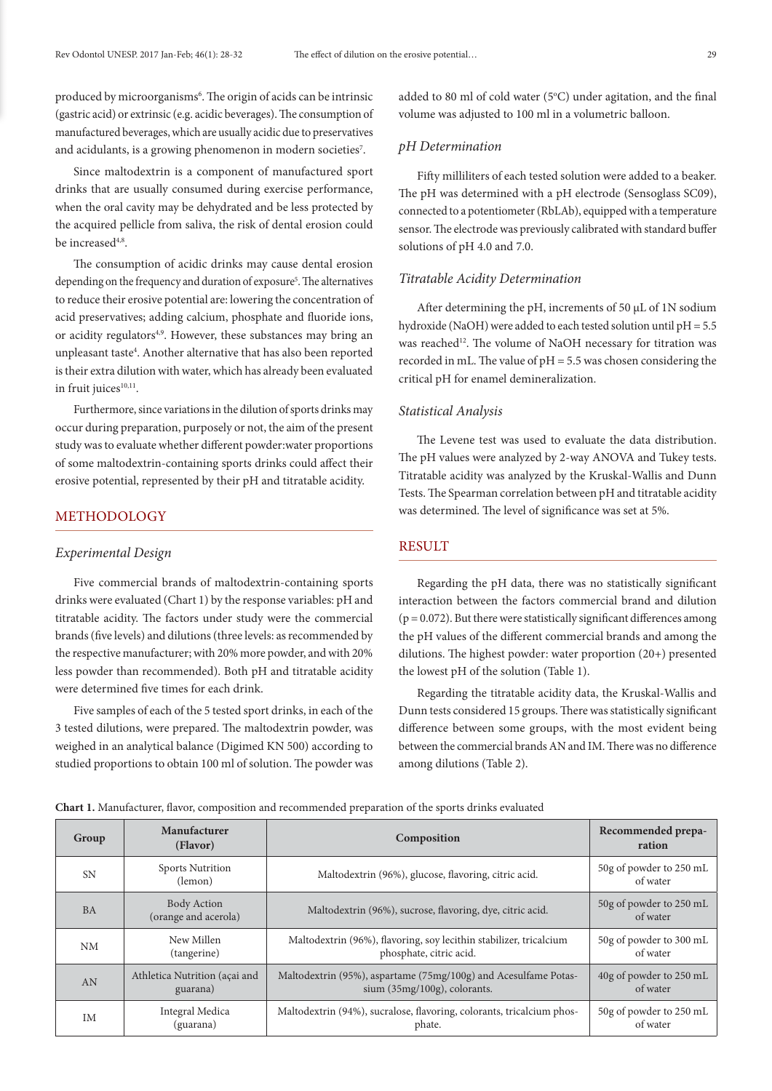produced by microorganisms<sup>6</sup>. The origin of acids can be intrinsic (gastric acid) or extrinsic (e.g. acidic beverages). The consumption of manufactured beverages, which are usually acidic due to preservatives and acidulants, is a growing phenomenon in modern societies<sup>7</sup>.

Since maltodextrin is a component of manufactured sport drinks that are usually consumed during exercise performance, when the oral cavity may be dehydrated and be less protected by the acquired pellicle from saliva, the risk of dental erosion could be increased<sup>4,8</sup>.

The consumption of acidic drinks may cause dental erosion depending on the frequency and duration of exposure<sup>5</sup>. The alternatives to reduce their erosive potential are: lowering the concentration of acid preservatives; adding calcium, phosphate and fluoride ions, or acidity regulators<sup>4,9</sup>. However, these substances may bring an unpleasant taste<sup>4</sup>. Another alternative that has also been reported is their extra dilution with water, which has already been evaluated in fruit juices<sup>10,11</sup>.

Furthermore, since variations in the dilution of sports drinks may occur during preparation, purposely or not, the aim of the present study was to evaluate whether different powder:water proportions of some maltodextrin-containing sports drinks could affect their erosive potential, represented by their pH and titratable acidity.

### METHODOLOGY

#### *Experimental Design*

Five commercial brands of maltodextrin-containing sports drinks were evaluated (Chart 1) by the response variables: pH and titratable acidity. The factors under study were the commercial brands (five levels) and dilutions (three levels: as recommended by the respective manufacturer; with 20% more powder, and with 20% less powder than recommended). Both pH and titratable acidity were determined five times for each drink.

Five samples of each of the 5 tested sport drinks, in each of the 3 tested dilutions, were prepared. The maltodextrin powder, was weighed in an analytical balance (Digimed KN 500) according to studied proportions to obtain 100 ml of solution. The powder was

added to 80 ml of cold water ( $5^{\circ}$ C) under agitation, and the final volume was adjusted to 100 ml in a volumetric balloon.

#### *pH Determination*

Fifty milliliters of each tested solution were added to a beaker. The pH was determined with a pH electrode (Sensoglass SC09), connected to a potentiometer (RbLAb), equipped with a temperature sensor. The electrode was previously calibrated with standard buffer solutions of pH 4.0 and 7.0.

#### *Titratable Acidity Determination*

After determining the pH, increments of 50 µL of 1N sodium hydroxide (NaOH) were added to each tested solution until pH = 5.5 was reached<sup>12</sup>. The volume of NaOH necessary for titration was recorded in mL. The value of pH = 5.5 was chosen considering the critical pH for enamel demineralization.

#### *Statistical Analysis*

The Levene test was used to evaluate the data distribution. The pH values were analyzed by 2-way ANOVA and Tukey tests. Titratable acidity was analyzed by the Kruskal-Wallis and Dunn Tests. The Spearman correlation between pH and titratable acidity was determined. The level of significance was set at 5%.

## **RESULT**

Regarding the pH data, there was no statistically significant interaction between the factors commercial brand and dilution  $(p = 0.072)$ . But there were statistically significant differences among the pH values of the different commercial brands and among the dilutions. The highest powder: water proportion (20+) presented the lowest pH of the solution (Table 1).

Regarding the titratable acidity data, the Kruskal-Wallis and Dunn tests considered 15 groups. There was statistically significant difference between some groups, with the most evident being between the commercial brands AN and IM. There was no difference among dilutions (Table 2).

**Chart 1.** Manufacturer, flavor, composition and recommended preparation of the sports drinks evaluated

| Group     | Manufacturer<br>(Flavor)                   | Composition                                                           | Recommended prepa-<br>ration        |
|-----------|--------------------------------------------|-----------------------------------------------------------------------|-------------------------------------|
| <b>SN</b> | <b>Sports Nutrition</b><br>(lemon)         | Maltodextrin (96%), glucose, flavoring, citric acid.                  | 50g of powder to 250 mL<br>of water |
| <b>BA</b> | <b>Body Action</b><br>(orange and acerola) | Maltodextrin (96%), sucrose, flavoring, dye, citric acid.             | 50g of powder to 250 mL<br>of water |
| <b>NM</b> | New Millen                                 | Maltodextrin (96%), flavoring, soy lecithin stabilizer, tricalcium    | 50g of powder to 300 mL             |
|           | (tangerine)                                | phosphate, citric acid.                                               | of water                            |
| AN        | Athletica Nutrition (açai and              | Maltodextrin (95%), aspartame (75mg/100g) and Acesulfame Potas-       | 40g of powder to 250 mL             |
|           | guarana)                                   | sium $(35mg/100g)$ , colorants.                                       | of water                            |
| IM        | Integral Medica                            | Maltodextrin (94%), sucralose, flavoring, colorants, tricalcium phos- | 50g of powder to 250 mL             |
|           | (guarana)                                  | phate.                                                                | of water                            |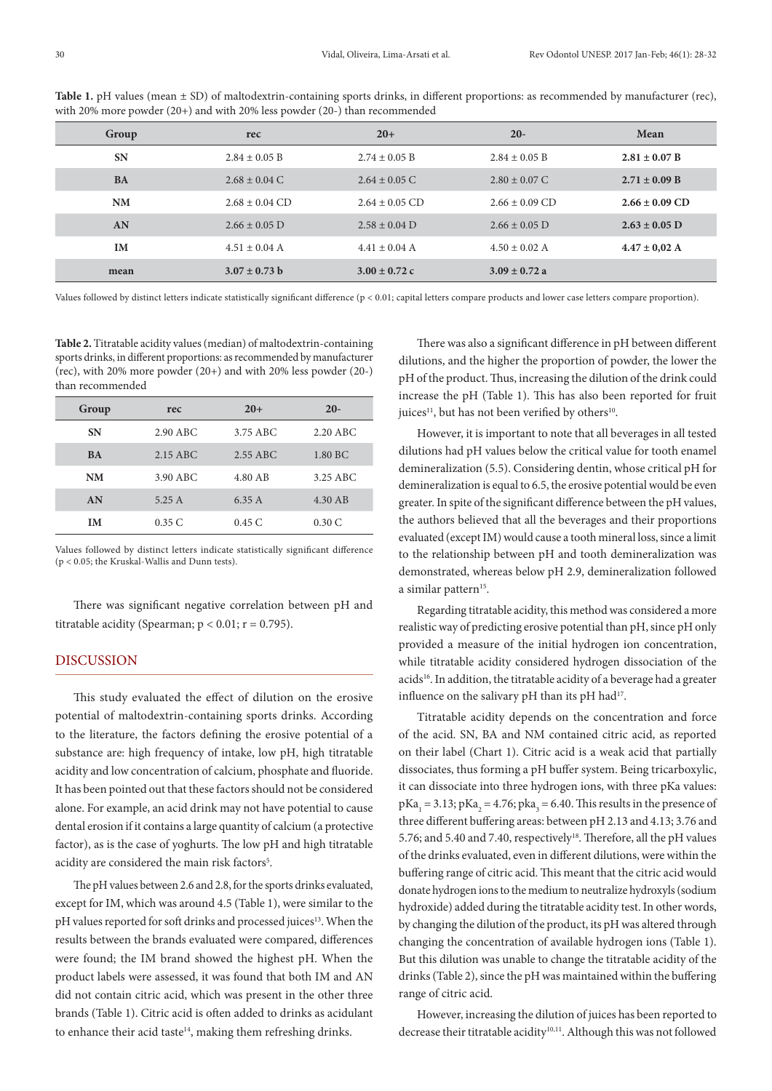| Group     | rec                | $20+$              | $20 -$             | Mean               |
|-----------|--------------------|--------------------|--------------------|--------------------|
| <b>SN</b> | $2.84 \pm 0.05$ B  | $2.74 \pm 0.05$ B  | $2.84 \pm 0.05$ B  | $2.81 \pm 0.07$ B  |
| <b>BA</b> | $2.68 \pm 0.04$ C  | $2.64 \pm 0.05$ C  | $2.80 \pm 0.07$ C  | $2.71 \pm 0.09$ B  |
| <b>NM</b> | $2.68 \pm 0.04$ CD | $2.64 \pm 0.05$ CD | $2.66 \pm 0.09$ CD | $2.66 \pm 0.09$ CD |
| AN        | $2.66 \pm 0.05$ D  | $2.58 \pm 0.04$ D  | $2.66 \pm 0.05$ D  | $2.63 \pm 0.05$ D  |
| <b>IM</b> | $4.51 \pm 0.04$ A  | $4.41 \pm 0.04$ A  | $4.50 \pm 0.02$ A  | $4.47 \pm 0.02$ A  |
| mean      | $3.07 \pm 0.73$ b  | $3.00 \pm 0.72$ c  | $3.09 \pm 0.72$ a  |                    |

Table 1. pH values (mean  $\pm$  SD) of maltodextrin-containing sports drinks, in different proportions: as recommended by manufacturer (rec), with 20% more powder (20+) and with 20% less powder (20-) than recommended

Values followed by distinct letters indicate statistically significant difference (p < 0.01; capital letters compare products and lower case letters compare proportion).

**Table 2.** Titratable acidity values (median) of maltodextrin-containing sports drinks, in different proportions: as recommended by manufacturer (rec), with 20% more powder (20+) and with 20% less powder (20-) than recommended

| Group     | rec      | $20+$    | $20 -$     |
|-----------|----------|----------|------------|
| <b>SN</b> | 2.90 ABC | 3.75 ABC | $2.20$ ABC |
| <b>BA</b> | 2.15 ABC | 2.55 ABC | 1.80 BC    |
| <b>NM</b> | 3.90 ABC | 4.80 AB  | 3.25 ABC   |
| AN        | 5.25A    | 6.35A    | 4.30 AB    |
| IМ        | 0.35C    | 0.45C    | 0.30C      |

Values followed by distinct letters indicate statistically significant difference (p < 0.05; the Kruskal-Wallis and Dunn tests).

There was significant negative correlation between pH and titratable acidity (Spearman;  $p < 0.01$ ;  $r = 0.795$ ).

## DISCUSSION

This study evaluated the effect of dilution on the erosive potential of maltodextrin-containing sports drinks. According to the literature, the factors defining the erosive potential of a substance are: high frequency of intake, low pH, high titratable acidity and low concentration of calcium, phosphate and fluoride. It has been pointed out that these factors should not be considered alone. For example, an acid drink may not have potential to cause dental erosion if it contains a large quantity of calcium (a protective factor), as is the case of yoghurts. The low pH and high titratable acidity are considered the main risk factors<sup>5</sup>.

The pH values between 2.6 and 2.8, for the sports drinks evaluated, except for IM, which was around 4.5 (Table 1), were similar to the pH values reported for soft drinks and processed juices<sup>13</sup>. When the results between the brands evaluated were compared, differences were found; the IM brand showed the highest pH. When the product labels were assessed, it was found that both IM and AN did not contain citric acid, which was present in the other three brands (Table 1). Citric acid is often added to drinks as acidulant to enhance their acid taste $14$ , making them refreshing drinks.

There was also a significant difference in pH between different dilutions, and the higher the proportion of powder, the lower the pH of the product. Thus, increasing the dilution of the drink could increase the pH (Table 1). This has also been reported for fruit juices<sup>11</sup>, but has not been verified by others<sup>10</sup>.

However, it is important to note that all beverages in all tested dilutions had pH values below the critical value for tooth enamel demineralization (5.5). Considering dentin, whose critical pH for demineralization is equal to 6.5, the erosive potential would be even greater. In spite of the significant difference between the pH values, the authors believed that all the beverages and their proportions evaluated (except IM) would cause a tooth mineral loss, since a limit to the relationship between pH and tooth demineralization was demonstrated, whereas below pH 2.9, demineralization followed a similar pattern<sup>15</sup>.

Regarding titratable acidity, this method was considered a more realistic way of predicting erosive potential than pH, since pH only provided a measure of the initial hydrogen ion concentration, while titratable acidity considered hydrogen dissociation of the acids<sup>16</sup>. In addition, the titratable acidity of a beverage had a greater influence on the salivary pH than its pH had<sup>17</sup>.

Titratable acidity depends on the concentration and force of the acid. SN, BA and NM contained citric acid, as reported on their label (Chart 1). Citric acid is a weak acid that partially dissociates, thus forming a pH buffer system. Being tricarboxylic, it can dissociate into three hydrogen ions, with three pKa values:  $pKa_1 = 3.13$ ;  $pKa_2 = 4.76$ ;  $pka_3 = 6.40$ . This results in the presence of three different buffering areas: between pH 2.13 and 4.13; 3.76 and 5.76; and 5.40 and 7.40, respectively<sup>18</sup>. Therefore, all the pH values of the drinks evaluated, even in different dilutions, were within the buffering range of citric acid. This meant that the citric acid would donate hydrogen ions to the medium to neutralize hydroxyls (sodium hydroxide) added during the titratable acidity test. In other words, by changing the dilution of the product, its pH was altered through changing the concentration of available hydrogen ions (Table 1). But this dilution was unable to change the titratable acidity of the drinks (Table 2), since the pH was maintained within the buffering range of citric acid.

However, increasing the dilution of juices has been reported to decrease their titratable acidity<sup>10,11</sup>. Although this was not followed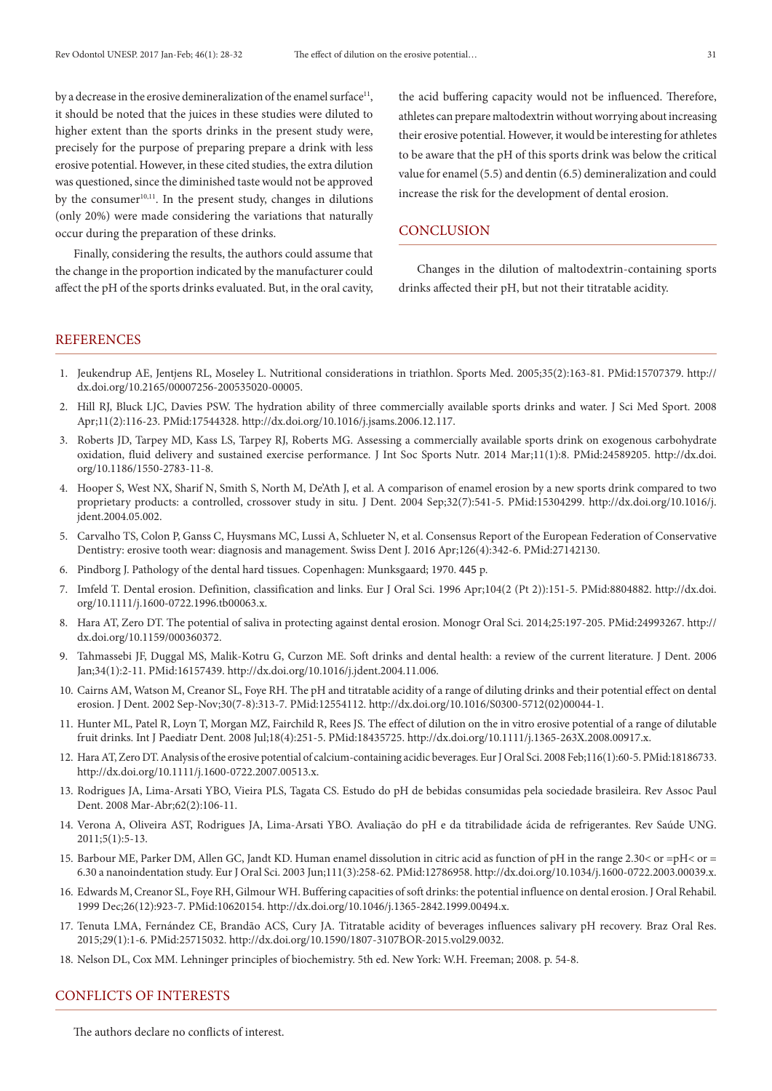by a decrease in the erosive demineralization of the enamel surface<sup>11</sup>, it should be noted that the juices in these studies were diluted to higher extent than the sports drinks in the present study were, precisely for the purpose of preparing prepare a drink with less erosive potential. However, in these cited studies, the extra dilution was questioned, since the diminished taste would not be approved by the consumer $10,11$ . In the present study, changes in dilutions (only 20%) were made considering the variations that naturally occur during the preparation of these drinks.

Finally, considering the results, the authors could assume that the change in the proportion indicated by the manufacturer could affect the pH of the sports drinks evaluated. But, in the oral cavity, the acid buffering capacity would not be influenced. Therefore, athletes can prepare maltodextrin without worrying about increasing their erosive potential. However, it would be interesting for athletes to be aware that the pH of this sports drink was below the critical value for enamel (5.5) and dentin (6.5) demineralization and could increase the risk for the development of dental erosion.

#### **CONCLUSION**

Changes in the dilution of maltodextrin-containing sports drinks affected their pH, but not their titratable acidity.

## **REFERENCES**

- 1. Jeukendrup AE, Jentjens RL, Moseley L. Nutritional considerations in triathlon. Sports Med. 2005;35(2):163-81[. PMid:15707379.](http://www.ncbi.nlm.nih.gov/entrez/query.fcgi?cmd=Retrieve&db=PubMed&list_uids=15707379&dopt=Abstract) [http://](http://dx.doi.org/10.2165/00007256-200535020-00005) [dx.doi.org/10.2165/00007256-200535020-00005.](http://dx.doi.org/10.2165/00007256-200535020-00005)
- 2. Hill RJ, Bluck LJC, Davies PSW. The hydration ability of three commercially available sports drinks and water. J Sci Med Sport. 2008 Apr;11(2):116-23. [PMid:17544328.](http://www.ncbi.nlm.nih.gov/entrez/query.fcgi?cmd=Retrieve&db=PubMed&list_uids=17544328&dopt=Abstract) <http://dx.doi.org/10.1016/j.jsams.2006.12.117>.
- 3. Roberts JD, Tarpey MD, Kass LS, Tarpey RJ, Roberts MG. Assessing a commercially available sports drink on exogenous carbohydrate oxidation, fluid delivery and sustained exercise performance. J Int Soc Sports Nutr. 2014 Mar;11(1):8[. PMid:24589205.](http://www.ncbi.nlm.nih.gov/entrez/query.fcgi?cmd=Retrieve&db=PubMed&list_uids=24589205&dopt=Abstract) [http://dx.doi.](http://dx.doi.org/10.1186/1550-2783-11-8) [org/10.1186/1550-2783-11-8.](http://dx.doi.org/10.1186/1550-2783-11-8)
- 4. Hooper S, West NX, Sharif N, Smith S, North M, De'Ath J, et al. A comparison of enamel erosion by a new sports drink compared to two proprietary products: a controlled, crossover study in situ. J Dent. 2004 Sep;32(7):541-5. [PMid:15304299.](http://www.ncbi.nlm.nih.gov/entrez/query.fcgi?cmd=Retrieve&db=PubMed&list_uids=15304299&dopt=Abstract) [http://dx.doi.org/10.1016/j.](http://dx.doi.org/10.1016/j.jdent.2004.05.002) [jdent.2004.05.002.](http://dx.doi.org/10.1016/j.jdent.2004.05.002)
- 5. Carvalho TS, Colon P, Ganss C, Huysmans MC, Lussi A, Schlueter N, et al. Consensus Report of the European Federation of Conservative Dentistry: erosive tooth wear: diagnosis and management. Swiss Dent J. 2016 Apr;126(4):342-6. [PMid:27142130.](http://www.ncbi.nlm.nih.gov/entrez/query.fcgi?cmd=Retrieve&db=PubMed&list_uids=27142130&dopt=Abstract)
- 6. Pindborg J. Pathology of the dental hard tissues. Copenhagen: Munksgaard; 1970. 445 p.
- 7. Imfeld T. Dental erosion. Definition, classification and links. Eur J Oral Sci. 1996 Apr;104(2 (Pt 2)):151-5. [PMid:8804882.](http://www.ncbi.nlm.nih.gov/entrez/query.fcgi?cmd=Retrieve&db=PubMed&list_uids=8804882&dopt=Abstract) [http://dx.doi.](http://dx.doi.org/10.1111/j.1600-0722.1996.tb00063.x) [org/10.1111/j.1600-0722.1996.tb00063.x](http://dx.doi.org/10.1111/j.1600-0722.1996.tb00063.x).
- 8. Hara AT, Zero DT. The potential of saliva in protecting against dental erosion. Monogr Oral Sci. 2014;25:197-205[. PMid:24993267.](http://www.ncbi.nlm.nih.gov/entrez/query.fcgi?cmd=Retrieve&db=PubMed&list_uids=24993267&dopt=Abstract) [http://](http://dx.doi.org/10.1159/000360372) [dx.doi.org/10.1159/000360372.](http://dx.doi.org/10.1159/000360372)
- 9. Tahmassebi JF, Duggal MS, Malik-Kotru G, Curzon ME. Soft drinks and dental health: a review of the current literature. J Dent. 2006 Jan;34(1):2-11. [PMid:16157439.](http://www.ncbi.nlm.nih.gov/entrez/query.fcgi?cmd=Retrieve&db=PubMed&list_uids=16157439&dopt=Abstract) <http://dx.doi.org/10.1016/j.jdent.2004.11.006>.
- 10. Cairns AM, Watson M, Creanor SL, Foye RH. The pH and titratable acidity of a range of diluting drinks and their potential effect on dental erosion. J Dent. 2002 Sep-Nov;30(7-8):313-7. [PMid:12554112.](http://www.ncbi.nlm.nih.gov/entrez/query.fcgi?cmd=Retrieve&db=PubMed&list_uids=12554112&dopt=Abstract) [http://dx.doi.org/10.1016/S0300-5712\(02\)00044-1.](http://dx.doi.org/10.1016/S0300-5712(02)00044-1)
- 11. Hunter ML, Patel R, Loyn T, Morgan MZ, Fairchild R, Rees JS. The effect of dilution on the in vitro erosive potential of a range of dilutable fruit drinks. Int J Paediatr Dent. 2008 Jul;18(4):251-5[. PMid:18435725.](http://www.ncbi.nlm.nih.gov/entrez/query.fcgi?cmd=Retrieve&db=PubMed&list_uids=18435725&dopt=Abstract) <http://dx.doi.org/10.1111/j.1365-263X.2008.00917.x>.
- 12. HaraAT, Zero DT. Analysis of the erosive potential of calcium-containing acidic beverages. Eur J Oral Sci. 2008 Feb;116(1):60-5. [PMid:18186733.](http://www.ncbi.nlm.nih.gov/entrez/query.fcgi?cmd=Retrieve&db=PubMed&list_uids=18186733&dopt=Abstract) <http://dx.doi.org/10.1111/j.1600-0722.2007.00513.x>.
- 13. Rodrigues JA, Lima-Arsati YBO, Vieira PLS, Tagata CS. Estudo do pH de bebidas consumidas pela sociedade brasileira. Rev Assoc Paul Dent. 2008 Mar-Abr;62(2):106-11.
- 14. Verona A, Oliveira AST, Rodrigues JA, Lima-Arsati YBO. Avaliação do pH e da titrabilidade ácida de refrigerantes. Rev Saúde UNG. 2011;5(1):5-13.
- 15. Barbour ME, Parker DM, Allen GC, Jandt KD. Human enamel dissolution in citric acid as function of pH in the range 2.30< or =pH< or = 6.30 a nanoindentation study. Eur J Oral Sci. 2003 Jun;111(3):258-62. [PMid:12786958.](http://www.ncbi.nlm.nih.gov/entrez/query.fcgi?cmd=Retrieve&db=PubMed&list_uids=12786958&dopt=Abstract) [http://dx.doi.org/10.1034/j.1600-0722.2003.00039.x.](http://dx.doi.org/10.1034/j.1600-0722.2003.00039.x)
- 16. Edwards M, Creanor SL, Foye RH, Gilmour WH. Buffering capacities of soft drinks: the potential influence on dental erosion.J Oral Rehabil. 1999 Dec;26(12):923-7[. PMid:10620154.](http://www.ncbi.nlm.nih.gov/entrez/query.fcgi?cmd=Retrieve&db=PubMed&list_uids=10620154&dopt=Abstract) [http://dx.doi.org/10.1046/j.1365-2842.1999.00494.x.](http://dx.doi.org/10.1046/j.1365-2842.1999.00494.x)
- 17. Tenuta LMA, Fernández CE, Brandão ACS, Cury JA. Titratable acidity of beverages influences salivary pH recovery. Braz Oral Res. 2015;29(1):1-6. [PMid:25715032.](http://www.ncbi.nlm.nih.gov/entrez/query.fcgi?cmd=Retrieve&db=PubMed&list_uids=25715032&dopt=Abstract) [http://dx.doi.org/10.1590/1807-3107BOR-2015.vol29.0032.](http://dx.doi.org/10.1590/1807-3107BOR-2015.vol29.0032)
- 18. Nelson DL, Cox MM. Lehninger principles of biochemistry. 5th ed. New York: W.H. Freeman; 2008. p. 54-8.

#### CONFLICTS OF INTERESTS

The authors declare no conflicts of interest.